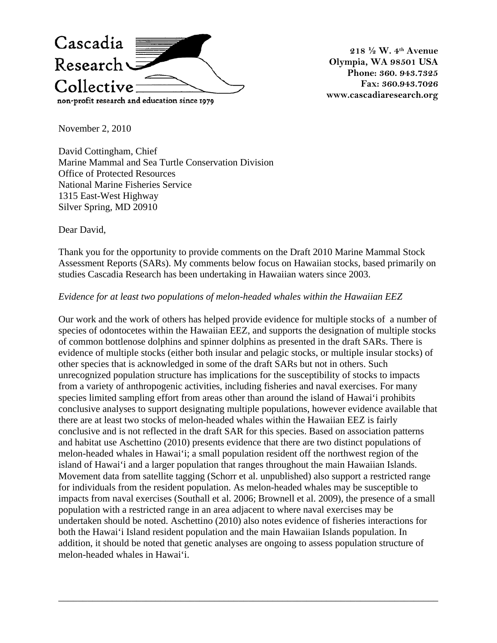

**218 ½ W. 4th Avenue Olympia, WA 98501 USA Phone: 360. 943.7325 Fax: 360.943.7026 www.cascadiaresearch.org** 

November 2, 2010

David Cottingham, Chief Marine Mammal and Sea Turtle Conservation Division Office of Protected Resources National Marine Fisheries Service 1315 East-West Highway Silver Spring, MD 20910

Dear David,

Thank you for the opportunity to provide comments on the Draft 2010 Marine Mammal Stock Assessment Reports (SARs). My comments below focus on Hawaiian stocks, based primarily on studies Cascadia Research has been undertaking in Hawaiian waters since 2003.

## *Evidence for at least two populations of melon-headed whales within the Hawaiian EEZ*

Our work and the work of others has helped provide evidence for multiple stocks of a number of species of odontocetes within the Hawaiian EEZ, and supports the designation of multiple stocks of common bottlenose dolphins and spinner dolphins as presented in the draft SARs. There is evidence of multiple stocks (either both insular and pelagic stocks, or multiple insular stocks) of other species that is acknowledged in some of the draft SARs but not in others. Such unrecognized population structure has implications for the susceptibility of stocks to impacts from a variety of anthropogenic activities, including fisheries and naval exercises. For many species limited sampling effort from areas other than around the island of Hawai'i prohibits conclusive analyses to support designating multiple populations, however evidence available that there are at least two stocks of melon-headed whales within the Hawaiian EEZ is fairly conclusive and is not reflected in the draft SAR for this species. Based on association patterns and habitat use Aschettino (2010) presents evidence that there are two distinct populations of melon-headed whales in Hawai'i; a small population resident off the northwest region of the island of Hawai'i and a larger population that ranges throughout the main Hawaiian Islands. Movement data from satellite tagging (Schorr et al. unpublished) also support a restricted range for individuals from the resident population. As melon-headed whales may be susceptible to impacts from naval exercises (Southall et al. 2006; Brownell et al. 2009), the presence of a small population with a restricted range in an area adjacent to where naval exercises may be undertaken should be noted. Aschettino (2010) also notes evidence of fisheries interactions for both the Hawai'i Island resident population and the main Hawaiian Islands population. In addition, it should be noted that genetic analyses are ongoing to assess population structure of melon-headed whales in Hawai'i.

\_\_\_\_\_\_\_\_\_\_\_\_\_\_\_\_\_\_\_\_\_\_\_\_\_\_\_\_\_\_\_\_\_\_\_\_\_\_\_\_\_\_\_\_\_\_\_\_\_\_\_\_\_\_\_\_\_\_\_\_\_\_\_\_\_\_\_\_\_\_\_\_\_\_\_\_\_\_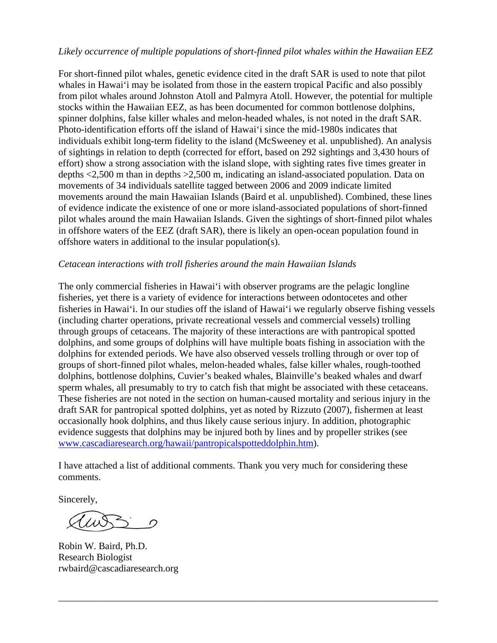## *Likely occurrence of multiple populations of short-finned pilot whales within the Hawaiian EEZ*

For short-finned pilot whales, genetic evidence cited in the draft SAR is used to note that pilot whales in Hawai'i may be isolated from those in the eastern tropical Pacific and also possibly from pilot whales around Johnston Atoll and Palmyra Atoll. However, the potential for multiple stocks within the Hawaiian EEZ, as has been documented for common bottlenose dolphins, spinner dolphins, false killer whales and melon-headed whales, is not noted in the draft SAR. Photo-identification efforts off the island of Hawai'i since the mid-1980s indicates that individuals exhibit long-term fidelity to the island (McSweeney et al. unpublished). An analysis of sightings in relation to depth (corrected for effort, based on 292 sightings and 3,430 hours of effort) show a strong association with the island slope, with sighting rates five times greater in depths <2,500 m than in depths >2,500 m, indicating an island-associated population. Data on movements of 34 individuals satellite tagged between 2006 and 2009 indicate limited movements around the main Hawaiian Islands (Baird et al. unpublished). Combined, these lines of evidence indicate the existence of one or more island-associated populations of short-finned pilot whales around the main Hawaiian Islands. Given the sightings of short-finned pilot whales in offshore waters of the EEZ (draft SAR), there is likely an open-ocean population found in offshore waters in additional to the insular population(s).

## *Cetacean interactions with troll fisheries around the main Hawaiian Islands*

The only commercial fisheries in Hawai'i with observer programs are the pelagic longline fisheries, yet there is a variety of evidence for interactions between odontocetes and other fisheries in Hawai'i. In our studies off the island of Hawai'i we regularly observe fishing vessels (including charter operations, private recreational vessels and commercial vessels) trolling through groups of cetaceans. The majority of these interactions are with pantropical spotted dolphins, and some groups of dolphins will have multiple boats fishing in association with the dolphins for extended periods. We have also observed vessels trolling through or over top of groups of short-finned pilot whales, melon-headed whales, false killer whales, rough-toothed dolphins, bottlenose dolphins, Cuvier's beaked whales, Blainville's beaked whales and dwarf sperm whales, all presumably to try to catch fish that might be associated with these cetaceans. These fisheries are not noted in the section on human-caused mortality and serious injury in the draft SAR for pantropical spotted dolphins, yet as noted by Rizzuto (2007), fishermen at least occasionally hook dolphins, and thus likely cause serious injury. In addition, photographic evidence suggests that dolphins may be injured both by lines and by propeller strikes (see [www.cascadiaresearch.org/hawaii/pantropicalspotteddolphin.htm](http://www.cascadiaresearch.org/hawaii/pantropicalspotteddolphin.htm)).

I have attached a list of additional comments. Thank you very much for considering these comments.

\_\_\_\_\_\_\_\_\_\_\_\_\_\_\_\_\_\_\_\_\_\_\_\_\_\_\_\_\_\_\_\_\_\_\_\_\_\_\_\_\_\_\_\_\_\_\_\_\_\_\_\_\_\_\_\_\_\_\_\_\_\_\_\_\_\_\_\_\_\_\_\_\_\_\_\_\_\_

Sincerely,

 $\geq$  0

Robin W. Baird, Ph.D. Research Biologist rwbaird@cascadiaresearch.org